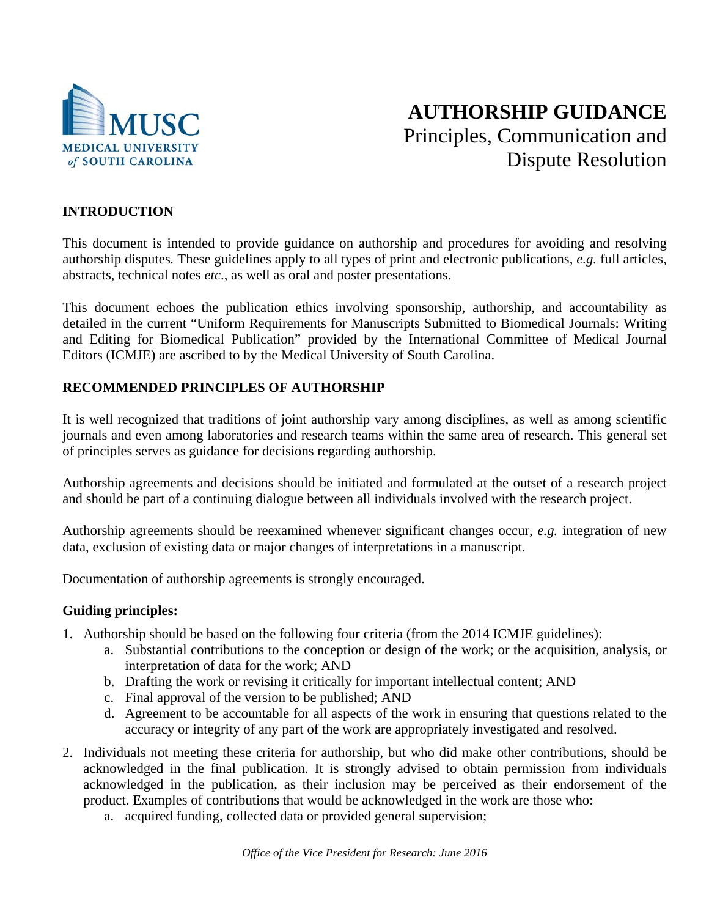

# **AUTHORSHIP GUIDANCE** Principles, Communication and Dispute Resolution

## **INTRODUCTION**

This document is intended to provide guidance on authorship and procedures for avoiding and resolving authorship disputes*.* These guidelines apply to all types of print and electronic publications, *e.g.* full articles, abstracts, technical notes *etc*., as well as oral and poster presentations.

This document echoes the publication ethics involving sponsorship, authorship, and accountability as detailed in the current "Uniform Requirements for Manuscripts Submitted to Biomedical Journals: Writing and Editing for Biomedical Publication" provided by the International Committee of Medical Journal Editors (ICMJE) are ascribed to by the Medical University of South Carolina.

#### **RECOMMENDED PRINCIPLES OF AUTHORSHIP**

It is well recognized that traditions of joint authorship vary among disciplines, as well as among scientific journals and even among laboratories and research teams within the same area of research. This general set of principles serves as guidance for decisions regarding authorship.

Authorship agreements and decisions should be initiated and formulated at the outset of a research project and should be part of a continuing dialogue between all individuals involved with the research project.

Authorship agreements should be reexamined whenever significant changes occur, *e.g.* integration of new data, exclusion of existing data or major changes of interpretations in a manuscript.

Documentation of authorship agreements is strongly encouraged.

#### **Guiding principles:**

- 1. Authorship should be based on the following four criteria (from the 2014 ICMJE guidelines):
	- a. Substantial contributions to the conception or design of the work; or the acquisition, analysis, or interpretation of data for the work; AND
	- b. Drafting the work or revising it critically for important intellectual content; AND
	- c. Final approval of the version to be published; AND
	- d. Agreement to be accountable for all aspects of the work in ensuring that questions related to the accuracy or integrity of any part of the work are appropriately investigated and resolved.
- 2. Individuals not meeting these criteria for authorship, but who did make other contributions, should be acknowledged in the final publication. It is strongly advised to obtain permission from individuals acknowledged in the publication, as their inclusion may be perceived as their endorsement of the product. Examples of contributions that would be acknowledged in the work are those who:
	- a. acquired funding, collected data or provided general supervision;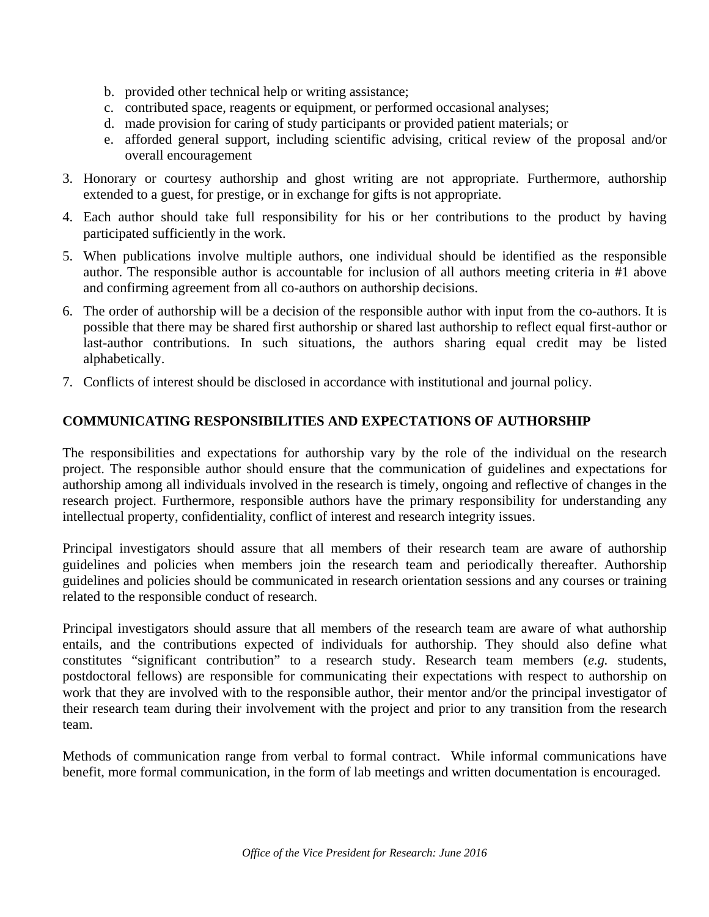- b. provided other technical help or writing assistance;
- c. contributed space, reagents or equipment, or performed occasional analyses;
- d. made provision for caring of study participants or provided patient materials; or
- e. afforded general support, including scientific advising, critical review of the proposal and/or overall encouragement
- 3. Honorary or courtesy authorship and ghost writing are not appropriate. Furthermore, authorship extended to a guest, for prestige, or in exchange for gifts is not appropriate.
- 4. Each author should take full responsibility for his or her contributions to the product by having participated sufficiently in the work.
- 5. When publications involve multiple authors, one individual should be identified as the responsible author. The responsible author is accountable for inclusion of all authors meeting criteria in #1 above and confirming agreement from all co-authors on authorship decisions.
- 6. The order of authorship will be a decision of the responsible author with input from the co-authors. It is possible that there may be shared first authorship or shared last authorship to reflect equal first-author or last-author contributions. In such situations, the authors sharing equal credit may be listed alphabetically.
- 7. Conflicts of interest should be disclosed in accordance with institutional and journal policy.

## **COMMUNICATING RESPONSIBILITIES AND EXPECTATIONS OF AUTHORSHIP**

The responsibilities and expectations for authorship vary by the role of the individual on the research project. The responsible author should ensure that the communication of guidelines and expectations for authorship among all individuals involved in the research is timely, ongoing and reflective of changes in the research project. Furthermore, responsible authors have the primary responsibility for understanding any intellectual property, confidentiality, conflict of interest and research integrity issues.

Principal investigators should assure that all members of their research team are aware of authorship guidelines and policies when members join the research team and periodically thereafter. Authorship guidelines and policies should be communicated in research orientation sessions and any courses or training related to the responsible conduct of research.

Principal investigators should assure that all members of the research team are aware of what authorship entails, and the contributions expected of individuals for authorship. They should also define what constitutes "significant contribution" to a research study. Research team members (*e.g.* students, postdoctoral fellows) are responsible for communicating their expectations with respect to authorship on work that they are involved with to the responsible author, their mentor and/or the principal investigator of their research team during their involvement with the project and prior to any transition from the research team.

Methods of communication range from verbal to formal contract. While informal communications have benefit, more formal communication, in the form of lab meetings and written documentation is encouraged.